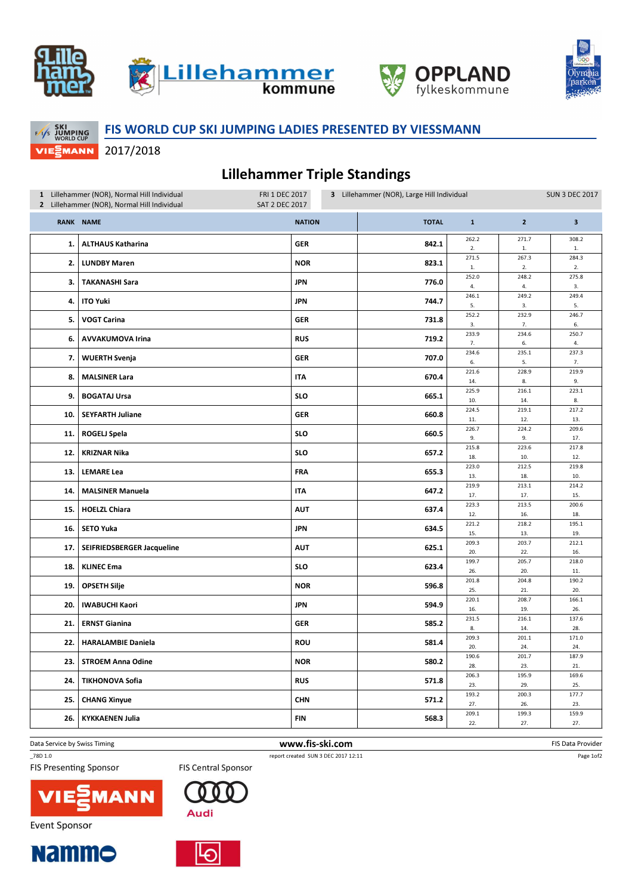





**FASSKI**<br>FASS JUMPING<br>WORLD CUP **VIEMANN** 

## FIS WORLD CUP SKI JUMPING LADIES PRESENTED BY VIESSMANN

2017/2018

## Lillehammer Triple Standings

| 1 Lillehammer (NOR), Normal Hill Individual<br>FRI 1 DEC 2017<br><b>SAT 2 DEC 2017</b><br>2 Lillehammer (NOR), Normal Hill Individual |                            |               | 3 Lillehammer (NOR), Large Hill Individual |              |                       |                       | <b>SUN 3 DEC 2017</b> |  |
|---------------------------------------------------------------------------------------------------------------------------------------|----------------------------|---------------|--------------------------------------------|--------------|-----------------------|-----------------------|-----------------------|--|
|                                                                                                                                       | <b>RANK NAME</b>           | <b>NATION</b> |                                            | <b>TOTAL</b> | $\mathbf{1}$          | $\overline{2}$        | $\mathbf{3}$          |  |
| 1.                                                                                                                                    | <b>ALTHAUS Katharina</b>   | <b>GER</b>    |                                            | 842.1        | 262.2<br>2.           | 271.7<br>$\mathbf{1}$ | 308.2<br>$1. \,$      |  |
| 2.                                                                                                                                    | <b>LUNDBY Maren</b>        | <b>NOR</b>    |                                            | 823.1        | 271.5<br>$\mathbf{1}$ | 267.3<br>2.           | 284.3<br>2.           |  |
| 3.                                                                                                                                    | <b>TAKANASHI Sara</b>      | <b>JPN</b>    |                                            | 776.0        | 252.0<br>4.           | 248.2<br>4.           | 275.8<br>3.           |  |
| 4.                                                                                                                                    | <b>ITO Yuki</b>            | <b>JPN</b>    |                                            | 744.7        | 246.1<br>5.           | 249.2<br>3.           | 249.4<br>5.           |  |
| 5.                                                                                                                                    | <b>VOGT Carina</b>         | <b>GER</b>    |                                            | 731.8        | 252.2<br>3.           | 232.9<br>7.           | 246.7<br>6.           |  |
| 6.                                                                                                                                    | <b>AVVAKUMOVA Irina</b>    | <b>RUS</b>    |                                            | 719.2        | 233.9<br>7.           | 234.6<br>6.           | 250.7<br>4.           |  |
| 7.                                                                                                                                    | <b>WUERTH Svenja</b>       | <b>GER</b>    |                                            | 707.0        | 234.6<br>6.           | 235.1<br>5.           | 237.3<br>7.           |  |
| 8.                                                                                                                                    | <b>MALSINER Lara</b>       | <b>ITA</b>    |                                            | 670.4        | 221.6<br>14.          | 228.9<br>8.           | 219.9<br>9.           |  |
| 9.                                                                                                                                    | <b>BOGATAJ Ursa</b>        | <b>SLO</b>    |                                            | 665.1        | 225.9<br>10.          | 216.1<br>14.          | 223.1<br>8.           |  |
| 10.                                                                                                                                   | <b>SEYFARTH Juliane</b>    | GER           |                                            | 660.8        | 224.5                 | 219.1                 | 217.2                 |  |
| 11.                                                                                                                                   | ROGELJ Spela               | <b>SLO</b>    |                                            | 660.5        | 11.<br>226.7          | 12.<br>224.2          | 13.<br>209.6          |  |
|                                                                                                                                       |                            |               |                                            |              | 9.<br>215.8           | 9.<br>223.6           | 17.<br>217.8          |  |
| 12.                                                                                                                                   | <b>KRIZNAR Nika</b>        | <b>SLO</b>    |                                            | 657.2        | 18.                   | 10.                   | 12.                   |  |
| 13.                                                                                                                                   | <b>LEMARE Lea</b>          | <b>FRA</b>    |                                            | 655.3        | 223.0<br>13.          | 212.5<br>18.          | 219.8<br>10.          |  |
| 14.                                                                                                                                   | <b>MALSINER Manuela</b>    | <b>ITA</b>    |                                            | 647.2        | 219.9<br>17.          | 213.1<br>17.          | 214.2<br>15.          |  |
| 15.                                                                                                                                   | <b>HOELZL Chiara</b>       | <b>AUT</b>    |                                            | 637.4        | 223.3<br>12.          | 213.5<br>16.          | 200.6<br>18.          |  |
| 16.                                                                                                                                   | <b>SETO Yuka</b>           | <b>JPN</b>    |                                            | 634.5        | 221.2<br>15.          | 218.2<br>13.          | 195.1<br>19.          |  |
| 17.                                                                                                                                   | SEIFRIEDSBERGER Jacqueline | <b>AUT</b>    |                                            | 625.1        | 209.3                 | 203.7                 | 212.1                 |  |
|                                                                                                                                       |                            |               |                                            |              | 20.<br>199.7          | 22.<br>205.7          | 16.<br>218.0          |  |
| 18.                                                                                                                                   | <b>KLINEC Ema</b>          | <b>SLO</b>    |                                            | 623.4        | 26.                   | 20.                   | 11.                   |  |
| 19.                                                                                                                                   | <b>OPSETH Silje</b>        | <b>NOR</b>    |                                            | 596.8        | 201.8<br>25.          | 204.8<br>21.          | 190.2<br>20.          |  |
| 20.                                                                                                                                   | <b>IWABUCHI Kaori</b>      | <b>JPN</b>    |                                            | 594.9        | 220.1<br>16.          | 208.7<br>19.          | 166.1<br>26.          |  |
| 21.                                                                                                                                   | <b>ERNST Gianina</b>       | <b>GER</b>    |                                            | 585.2        | 231.5<br>8.           | 216.1<br>14.          | 137.6<br>28.          |  |
| 22.                                                                                                                                   | <b>HARALAMBIE Daniela</b>  | ROU           |                                            | 581.4        | 209.3<br>20.          | 201.1<br>24.          | 171.0<br>24.          |  |
| 23.                                                                                                                                   | <b>STROEM Anna Odine</b>   | <b>NOR</b>    |                                            | 580.2        | 190.6<br>28.          | 201.7<br>23.          | 187.9<br>21.          |  |
| 24.                                                                                                                                   | <b>TIKHONOVA Sofia</b>     | <b>RUS</b>    |                                            | 571.8        | 206.3<br>23.          | 195.9<br>29.          | 169.6<br>25.          |  |
| 25.                                                                                                                                   | <b>CHANG Xinyue</b>        | <b>CHN</b>    |                                            | 571.2        | 193.2<br>27.          | 200.3<br>26.          | 177.7<br>23.          |  |
| 26.                                                                                                                                   | <b>KYKKAENEN Julia</b>     | <b>FIN</b>    |                                            | 568.3        | 209.1                 | 199.3                 | 159.9                 |  |
|                                                                                                                                       |                            |               |                                            |              | 22.                   | 27.                   | 27.                   |  |

Data Service by Swiss Timing **EXECUTE:** The Service by Swiss Timing FIS Data Provider \_78D 1.0 report created SUN 3 DEC 2017 12:11

V

**Event Sponsor** 

**Nammo** 

**FIS Presenting Sponsor** 





**FIS Central Sponsor** 



Page 1of2